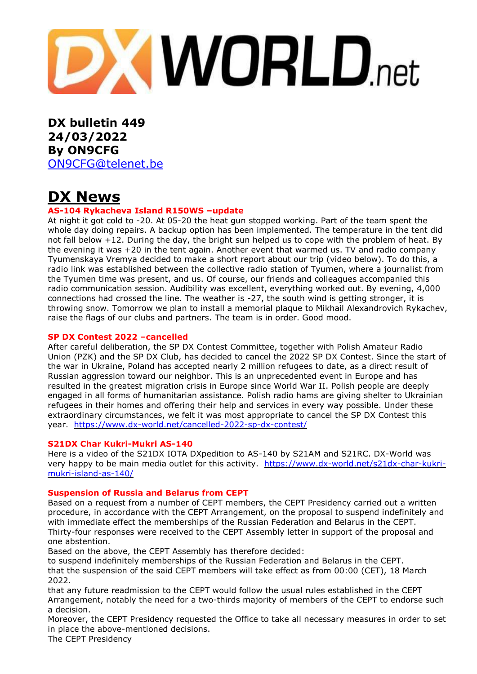# **DXWORLD.net**

**DX bulletin 449 24/03/2022 By ON9CFG** [ON9CFG@telenet.be](mailto:ON9CFG@telenet.be)

# **DX News**

## **AS-104 Rykacheva Island R150WS –update**

At night it got cold to -20. At 05-20 the heat gun stopped working. Part of the team spent the whole day doing repairs. A backup option has been implemented. The temperature in the tent did not fall below +12. During the day, the bright sun helped us to cope with the problem of heat. By the evening it was +20 in the tent again. Another event that warmed us. TV and radio company Tyumenskaya Vremya decided to make a short report about our trip (video below). To do this, a radio link was established between the collective radio station of Tyumen, where a journalist from the Tyumen time was present, and us. Of course, our friends and colleagues accompanied this radio communication session. Audibility was excellent, everything worked out. By evening, 4,000 connections had crossed the line. The weather is -27, the south wind is getting stronger, it is throwing snow. Tomorrow we plan to install a memorial plaque to Mikhail Alexandrovich Rykachev, raise the flags of our clubs and partners. The team is in order. Good mood.

## **SP DX Contest 2022 –cancelled**

After careful deliberation, the SP DX Contest Committee, together with Polish Amateur Radio Union (PZK) and the SP DX Club, has decided to cancel the 2022 SP DX Contest. Since the start of the war in Ukraine, Poland has accepted nearly 2 million refugees to date, as a direct result of Russian aggression toward our neighbor. This is an unprecedented event in Europe and has resulted in the greatest migration crisis in Europe since World War II. Polish people are deeply engaged in all forms of humanitarian assistance. Polish radio hams are giving shelter to Ukrainian refugees in their homes and offering their help and services in every way possible. Under these extraordinary circumstances, we felt it was most appropriate to cancel the SP DX Contest this year. <https://www.dx-world.net/cancelled-2022-sp-dx-contest/>

## **S21DX Char Kukri-Mukri AS-140**

Here is a video of the S21DX IOTA DXpedition to AS-140 by S21AM and S21RC. DX-World was very happy to be main media outlet for this activity. [https://www.dx-world.net/s21dx-char-kukri](https://www.dx-world.net/s21dx-char-kukri-mukri-island-as-140/)[mukri-island-as-140/](https://www.dx-world.net/s21dx-char-kukri-mukri-island-as-140/)

## **Suspension of Russia and Belarus from CEPT**

Based on a request from a number of CEPT members, the CEPT Presidency carried out a written procedure, in accordance with the CEPT Arrangement, on the proposal to suspend indefinitely and with immediate effect the memberships of the Russian Federation and Belarus in the CEPT. Thirty-four responses were received to the CEPT Assembly letter in support of the proposal and one abstention.

Based on the above, the CEPT Assembly has therefore decided:

to suspend indefinitely memberships of the Russian Federation and Belarus in the CEPT. that the suspension of the said CEPT members will take effect as from 00:00 (CET), 18 March 2022.

that any future readmission to the CEPT would follow the usual rules established in the CEPT Arrangement, notably the need for a two-thirds majority of members of the CEPT to endorse such a decision.

Moreover, the CEPT Presidency requested the Office to take all necessary measures in order to set in place the above-mentioned decisions.

The CEPT Presidency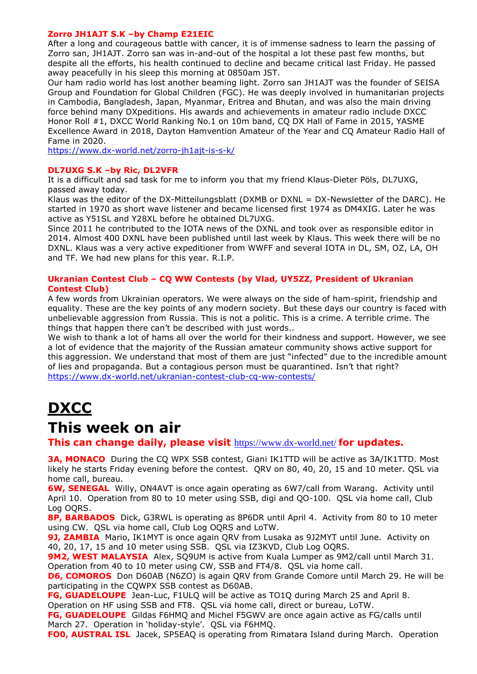## **Zorro JH1AJT S.K –by Champ E21EIC**

After a long and courageous battle with cancer, it is of immense sadness to learn the passing of Zorro san, JH1AJT. Zorro san was in-and-out of the hospital a lot these past few months, but despite all the efforts, his health continued to decline and became critical last Friday. He passed away peacefully in his sleep this morning at 0850am JST.

Our ham radio world has lost another beaming light. Zorro san JH1AJT was the founder of SEISA Group and Foundation for Global Children (FGC). He was deeply involved in humanitarian projects in Cambodia, Bangladesh, Japan, Myanmar, Eritrea and Bhutan, and was also the main driving force behind many DXpeditions. His awards and achievements in amateur radio include DXCC Honor Roll #1, DXCC World Ranking No.1 on 10m band, CQ DX Hall of Fame in 2015, YASME Excellence Award in 2018, Dayton Hamvention Amateur of the Year and CQ Amateur Radio Hall of Fame in 2020.

<https://www.dx-world.net/zorro-jh1ajt-is-s-k/>

## **DL7UXG S.K –by Ric, DL2VFR**

It is a difficult and sad task for me to inform you that my friend Klaus-Dieter Pöls, DL7UXG, passed away today.

Klaus was the editor of the DX-Mitteilungsblatt (DXMB or DXNL = DX-Newsletter of the DARC). He started in 1970 as short wave listener and became licensed first 1974 as DM4XIG. Later he was active as Y51SL and Y28XL before he obtained DL7UXG.

Since 2011 he contributed to the IOTA news of the DXNL and took over as responsible editor in 2014. Almost 400 DXNL have been published until last week by Klaus. This week there will be no DXNL. Klaus was a very active expeditioner from WWFF and several IOTA in DL, SM, OZ, LA, OH and TF. We had new plans for this year. R.I.P.

#### **Ukranian Contest Club – CQ WW Contests (by Vlad, UY5ZZ, President of Ukranian Contest Club)**

A few words from Ukrainian operators. We were always on the side of ham-spirit, friendship and equality. These are the key points of any modern society. But these days our country is faced with unbelievable aggression from Russia. This is not a politic. This is a crime. A terrible crime. The things that happen there can't be described with just words..

We wish to thank a lot of hams all over the world for their kindness and support. However, we see a lot of evidence that the majority of the Russian amateur community shows active support for this aggression. We understand that most of them are just "infected" due to the incredible amount of lies and propaganda. But a contagious person must be quarantined. Isn't that right? <https://www.dx-world.net/ukranian-contest-club-cq-ww-contests/>

# **DXCC**

# **This week on air**

**This can change daily, please visit** <https://www.dx-world.net/> **for updates.**

**3A, MONACO** During the CQ WPX SSB contest, Giani IK1TTD will be active as 3A/IK1TTD. Most likely he starts Friday evening before the contest. QRV on 80, 40, 20, 15 and 10 meter. QSL via home call, bureau.

**6W, SENEGAL** Willy, ON4AVT is once again operating as 6W7/call from Warang. Activity until April 10. Operation from 80 to 10 meter using SSB, digi and QO-100. QSL via home call, Club Log OQRS.

**8P, BARBADOS** Dick, G3RWL is operating as 8P6DR until April 4. Activity from 80 to 10 meter using CW. QSL via home call, Club Log OQRS and LoTW.

**9J, ZAMBIA** Mario, IK1MYT is once again QRV from Lusaka as 9J2MYT until June. Activity on 40, 20, 17, 15 and 10 meter using SSB. QSL via IZ3KVD, Club Log OQRS.

**9M2, WEST MALAYSIA** Alex, SO9UM is active from Kuala Lumper as 9M2/call until March 31. Operation from 40 to 10 meter using CW, SSB and FT4/8. QSL via home call.

**D6, COMOROS** Don D60AB (N6ZO) is again QRV from Grande Comore until March 29. He will be participating in the CQWPX SSB contest as D60AB.

**FG, GUADELOUPE** Jean-Luc, F1ULQ will be active as TO1Q during March 25 and April 8.

Operation on HF using SSB and FT8. QSL via home call, direct or bureau, LoTW.

**FG, GUADELOUPE** Gildas F6HMQ and Michel F5GWV are once again active as FG/calls until March 27. Operation in 'holiday-style'. QSL via F6HMQ.

**FO0, AUSTRAL ISL** Jacek, SP5EAQ is operating from Rimatara Island during March. Operation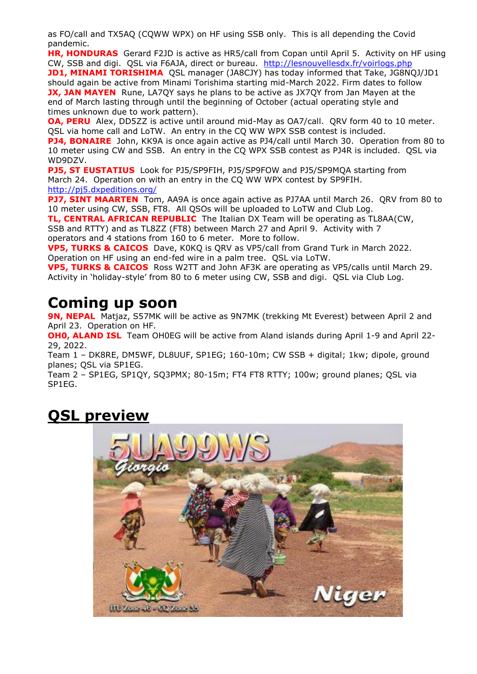as FO/call and TX5AQ (CQWW WPX) on HF using SSB only. This is all depending the Covid pandemic.

**HR, HONDURAS** Gerard F2JD is active as HR5/call from Copan until April 5. Activity on HF using CW, SSB and digi. QSL via F6AJA, direct or bureau. <http://lesnouvellesdx.fr/voirlogs.php>

**JD1, MINAMI TORISHIMA** QSL manager (JA8CJY) has today informed that Take, JG8NQJ/JD1 should again be active from Minami Torishima starting mid-March 2022. Firm dates to follow **JX, JAN MAYEN** Rune, LA7QY says he plans to be active as JX7QY from Jan Mayen at the end of March lasting through until the beginning of October (actual operating style and times unknown due to work pattern).

**OA, PERU** Alex, DD5ZZ is active until around mid-May as OA7/call. QRV form 40 to 10 meter. QSL via home call and LoTW. An entry in the CQ WW WPX SSB contest is included.

**PJ4, BONAIRE** John, KK9A is once again active as PJ4/call until March 30. Operation from 80 to 10 meter using CW and SSB. An entry in the CQ WPX SSB contest as PJ4R is included. QSL via WD9DZV.

**PJ5, ST EUSTATIUS** Look for PJ5/SP9FIH, PJ5/SP9FOW and PJ5/SP9MQA starting from March 24. Operation on with an entry in the CQ WW WPX contest by SP9FIH. <http://pj5.dxpeditions.org/>

**PJ7, SINT MAARTEN** Tom, AA9A is once again active as PJ7AA until March 26. QRV from 80 to 10 meter using CW, SSB, FT8. All QSOs will be uploaded to LoTW and Club Log.

**TL, CENTRAL AFRICAN REPUBLIC** The Italian DX Team will be operating as TL8AA(CW, SSB and RTTY) and as TL8ZZ (FT8) between March 27 and April 9. Activity with 7

operators and 4 stations from 160 to 6 meter. More to follow.

**VP5, TURKS & CAICOS** Dave, K0KQ is QRV as VP5/call from Grand Turk in March 2022. Operation on HF using an end-fed wire in a palm tree. QSL via LoTW.

**VP5, TURKS & CAICOS** Ross W2TT and John AF3K are operating as VP5/calls until March 29. Activity in 'holiday-style' from 80 to 6 meter using CW, SSB and digi. QSL via Club Log.

# **Coming up soon**

**9N, NEPAL** Matjaz, S57MK will be active as 9N7MK (trekking Mt Everest) between April 2 and April 23. Operation on HF.

**OH0, ALAND ISL** Team OH0EG will be active from Aland islands during April 1-9 and April 22-29, 2022.

Team 1 – DK8RE, DM5WF, DL8UUF, SP1EG; 160-10m; CW SSB + digital; 1kw; dipole, ground planes; QSL via SP1EG.

Team 2 – SP1EG, SP1QY, SQ3PMX; 80-15m; FT4 FT8 RTTY; 100w; ground planes; QSL via SP1EG.

# **QSL preview**

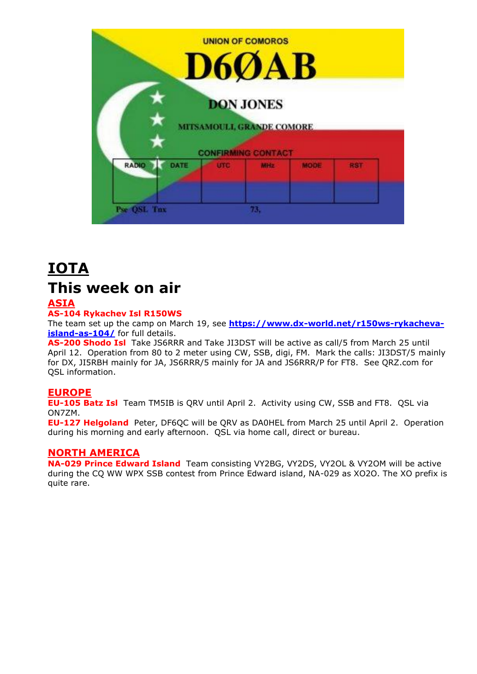

# **IOTA This week on air**

## **ASIA**

## **AS-104 Rykachev Isl R150WS**

The team set up the camp on March 19, see **[https://www.dx-world.net/r150ws-rykacheva](https://www.dx-world.net/r150ws-rykacheva-island-as-104/)[island-as-104/](https://www.dx-world.net/r150ws-rykacheva-island-as-104/)** for full details.

**AS-200 Shodo Isl** Take JS6RRR and Take JI3DST will be active as call/5 from March 25 until April 12. Operation from 80 to 2 meter using CW, SSB, digi, FM. Mark the calls: JI3DST/5 mainly for DX, JI5RBH mainly for JA, JS6RRR/5 mainly for JA and JS6RRR/P for FT8. See QRZ.com for QSL information.

## **EUROPE**

**EU-105 Batz Isl** Team TM5IB is QRV until April 2. Activity using CW, SSB and FT8. QSL via ON7ZM.

**EU-127 Helgoland** Peter, DF6QC will be QRV as DA0HEL from March 25 until April 2. Operation during his morning and early afternoon. QSL via home call, direct or bureau.

## **NORTH AMERICA**

**NA-029 Prince Edward Island** Team consisting VY2BG, VY2DS, VY2OL & VY2OM will be active during the CQ WW WPX SSB contest from Prince Edward island, NA-029 as XO2O. The XO prefix is quite rare.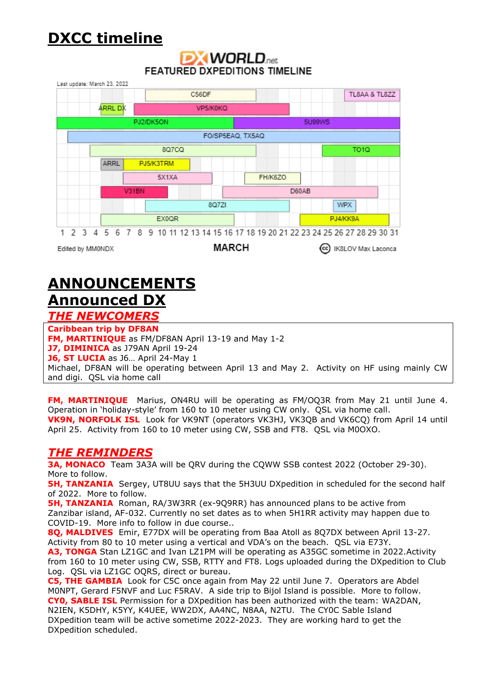# **DXCC timeline**

# **DXWORLD**<sub>net</sub> **FEATURED DXPEDITIONS TIMELINE**

| Last update: March 23, 2022                                                         |           |              |       |  |  |  |  |           |  |              |  |  |          |                  |        |  |         |  |  |                                   |       |          |                  |            |  |  |               |  |  |
|-------------------------------------------------------------------------------------|-----------|--------------|-------|--|--|--|--|-----------|--|--------------|--|--|----------|------------------|--------|--|---------|--|--|-----------------------------------|-------|----------|------------------|------------|--|--|---------------|--|--|
|                                                                                     |           | C56DF        |       |  |  |  |  |           |  |              |  |  |          |                  |        |  |         |  |  |                                   |       |          |                  |            |  |  | TL8AA & TL8ZZ |  |  |
|                                                                                     | ARRL DX   |              |       |  |  |  |  |           |  |              |  |  | VP5/K0KQ |                  |        |  |         |  |  |                                   |       |          |                  |            |  |  |               |  |  |
|                                                                                     | PJ2/DK5ON |              |       |  |  |  |  |           |  |              |  |  |          |                  | 5U99WS |  |         |  |  |                                   |       |          |                  |            |  |  |               |  |  |
|                                                                                     |           |              |       |  |  |  |  |           |  |              |  |  |          | FO/SP5EAQ, TX5AQ |        |  |         |  |  |                                   |       |          |                  |            |  |  |               |  |  |
|                                                                                     |           | <b>8Q7CQ</b> |       |  |  |  |  |           |  |              |  |  |          |                  |        |  |         |  |  |                                   |       |          | TO <sub>10</sub> |            |  |  |               |  |  |
|                                                                                     |           |              | ARRL  |  |  |  |  | PJ5/K3TRM |  |              |  |  |          |                  |        |  |         |  |  |                                   |       |          |                  |            |  |  |               |  |  |
|                                                                                     |           |              |       |  |  |  |  | 5X1XA     |  |              |  |  |          |                  |        |  | FH/K6ZO |  |  |                                   |       |          |                  |            |  |  |               |  |  |
|                                                                                     | V31BN     |              |       |  |  |  |  |           |  |              |  |  |          |                  |        |  |         |  |  |                                   | D60AB |          |                  |            |  |  |               |  |  |
|                                                                                     |           |              |       |  |  |  |  |           |  |              |  |  |          |                  | 8Q7ZI  |  |         |  |  |                                   |       |          |                  | <b>WPX</b> |  |  |               |  |  |
|                                                                                     |           |              | EX0QR |  |  |  |  |           |  |              |  |  |          |                  |        |  |         |  |  |                                   |       | PJ4/KK9A |                  |            |  |  |               |  |  |
| 1 2 3 4 5 6 7 8 9 10 11 12 13 14 15 16 17 18 19 20 21 22 23 24 25 26 27 28 29 30 31 |           |              |       |  |  |  |  |           |  |              |  |  |          |                  |        |  |         |  |  |                                   |       |          |                  |            |  |  |               |  |  |
| Edited by MM0NDX                                                                    |           |              |       |  |  |  |  |           |  | <b>MARCH</b> |  |  |          |                  |        |  |         |  |  | (cc)<br><b>IK8LOV Max Laconca</b> |       |          |                  |            |  |  |               |  |  |

# **ANNOUNCEMENTS Announced DX** *THE NEWCOMERS*

#### **Caribbean trip by DF8AN**

**FM, MARTINIQUE** as FM/DF8AN April 13-19 and May 1-2

**J7, DIMINICA** as J79AN April 19-24

**J6, ST LUCIA** as J6… April 24-May 1

Michael, DF8AN will be operating between April 13 and May 2. Activity on HF using mainly CW and digi. QSL via home call

**FM, MARTINIQUE** Marius, ON4RU will be operating as FM/OQ3R from May 21 until June 4. Operation in 'holiday-style' from 160 to 10 meter using CW only. QSL via home call. **VK9N, NORFOLK ISL** Look for VK9NT (operators VK3HJ, VK3QB and VK6CQ) from April 14 until April 25. Activity from 160 to 10 meter using CW, SSB and FT8. QSL via M0OXO.

# *THE REMINDERS*

**3A, MONACO** Team 3A3A will be QRV during the CQWW SSB contest 2022 (October 29-30). More to follow.

**5H, TANZANIA** Sergey, UT8UU says that the 5H3UU DXpedition in scheduled for the second half of 2022. More to follow.

**5H, TANZANIA** Roman, RA/3W3RR (ex-9Q9RR) has announced plans to be active from Zanzibar island, AF-032. Currently no set dates as to when 5H1RR activity may happen due to COVID-19. More info to follow in due course..

**8Q, MALDIVES** Emir, E77DX will be operating from Baa Atoll as 8Q7DX between April 13-27. Activity from 80 to 10 meter using a vertical and VDA's on the beach. QSL via E73Y.

**A3, TONGA** Stan LZ1GC and Ivan LZ1PM will be operating as A35GC sometime in 2022.Activity from 160 to 10 meter using CW, SSB, RTTY and FT8. Logs uploaded during the DXpedition to Club Log. QSL via LZ1GC OQRS, direct or bureau.

**C5, THE GAMBIA** Look for C5C once again from May 22 until June 7. Operators are Abdel M0NPT, Gerard F5NVF and Luc F5RAV. A side trip to Bijol Island is possible. More to follow. **CY0, SABLE ISL** Permission for a DXpedition has been authorized with the team: WA2DAN, N2IEN, K5DHY, K5YY, K4UEE, WW2DX, AA4NC, N8AA, N2TU. The CY0C Sable Island DXpedition team will be active sometime 2022-2023. They are working hard to get the DXpedition scheduled.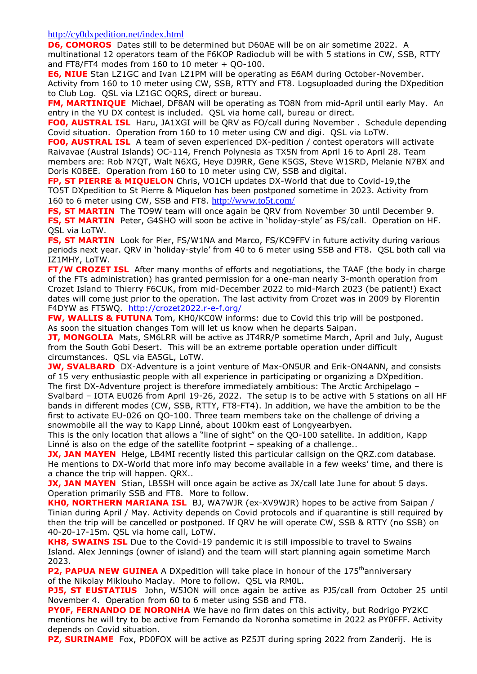<http://cy0dxpedition.net/index.html>

**D6, COMOROS** Dates still to be determined but D60AE will be on air sometime 2022. A multinational 12 operators team of the F6KOP Radioclub will be with 5 stations in CW, SSB, RTTY and FT8/FT4 modes from 160 to 10 meter + QO-100.

**E6, NIUE** Stan LZ1GC and Ivan LZ1PM will be operating as E6AM during October-November. Activity from 160 to 10 meter using CW, SSB, RTTY and FT8. Logsuploaded during the DXpedition to Club Log. QSL via LZ1GC OQRS, direct or bureau.

**FM, MARTINIQUE** Michael, DF8AN will be operating as TO8N from mid-April until early May. An entry in the YU DX contest is included. QSL via home call, bureau or direct.

**FO0, AUSTRAL ISL** Haru, JA1XGI will be QRV as FO/call during November . Schedule depending Covid situation. Operation from 160 to 10 meter using CW and digi. QSL via LoTW.

**FO0, AUSTRAL ISL** A team of seven experienced DX-pedition / contest operators will activate Raivavae (Austral Islands) OC-114, French Polynesia as TX5N from April 16 to April 28. Team members are: Rob N7QT, Walt N6XG, Heye DJ9RR, Gene K5GS, Steve W1SRD, Melanie N7BX and Doris K0BEE. Operation from 160 to 10 meter using CW, SSB and digital.

**FP, ST PIERRE & MIQUELON** Chris, VO1CH updates DX-World that due to Covid-19,the TO5T DXpedition to St Pierre & Miquelon has been postponed sometime in 2023. Activity from 160 to 6 meter using CW, SSB and FT8. <http://www.to5t.com/>

**FS, ST MARTIN** The TO9W team will once again be QRV from November 30 until December 9. **FS, ST MARTIN** Peter, G4SHO will soon be active in 'holiday-style' as FS/call. Operation on HF. QSL via LoTW.

**FS, ST MARTIN** Look for Pier, FS/W1NA and Marco, FS/KC9FFV in future activity during various periods next year. QRV in 'holiday-style' from 40 to 6 meter using SSB and FT8. QSL both call via IZ1MHY, LoTW.

**FT/W CROZET ISL** After many months of efforts and negotiations, the TAAF (the body in charge of the FTs administration) has granted permission for a one-man nearly 3-month operation from Crozet Island to Thierry F6CUK, from mid-December 2022 to mid-March 2023 (be patient!) Exact dates will come just prior to the operation. The last activity from Crozet was in 2009 by Florentin F4DYW as FT5WQ. <http://crozet2022.r-e-f.org/>

**FW, WALLIS & FUTUNA** Tom, KH0/KC0W informs: due to Covid this trip will be postponed. As soon the situation changes Tom will let us know when he departs Saipan.

**JT, MONGOLIA** Mats, SM6LRR will be active as JT4RR/P sometime March, April and July, August from the South Gobi Desert. This will be an extreme portable operation under difficult circumstances. QSL via EA5GL, LoTW.

**JW, SVALBARD** DX-Adventure is a joint venture of Max-ON5UR and Erik-ON4ANN, and consists of 15 very enthusiastic people with all experience in participating or organizing a DXpedition. The first DX-Adventure project is therefore immediately ambitious: The Arctic Archipelago –

Svalbard – IOTA EU026 from April 19-26, 2022. The setup is to be active with 5 stations on all HF bands in different modes (CW, SSB, RTTY, FT8-FT4). In addition, we have the ambition to be the first to activate EU-026 on QO-100. Three team members take on the challenge of driving a snowmobile all the way to Kapp Linné, about 100km east of Longyearbyen.

This is the only location that allows a "line of sight" on the QO-100 satellite. In addition, Kapp Linné is also on the edge of the satellite footprint – speaking of a challenge..

**JX, JAN MAYEN** Helge, LB4MI recently listed this particular callsign on the QRZ.com database. He mentions to DX-World that more info may become available in a few weeks' time, and there is a chance the trip will happen. QRX..

**JX, JAN MAYEN** Stian, LB5SH will once again be active as JX/call late June for about 5 days. Operation primarily SSB and FT8. More to follow.

**KH0, NORTHERN MARIANA ISL** BJ, WA7WJR (ex-XV9WJR) hopes to be active from Saipan / Tinian during April / May. Activity depends on Covid protocols and if quarantine is still required by then the trip will be cancelled or postponed. If QRV he will operate CW, SSB & RTTY (no SSB) on 40-20-17-15m. QSL via home call, LoTW.

**KH8, SWAINS ISL** Due to the Covid-19 pandemic it is still impossible to travel to Swains Island. Alex Jennings (owner of island) and the team will start planning again sometime March 2023.

**P2, PAPUA NEW GUINEA** A DXpedition will take place in honour of the 175<sup>th</sup>anniversary of the Nikolay Miklouho Maclay. More to follow. QSL via RM0L.

**PJ5, ST EUSTATIUS** John, W5JON will once again be active as PJ5/call from October 25 until November 4. Operation from 60 to 6 meter using SSB and FT8.

**PY0F, FERNANDO DE NORONHA** We have no firm dates on this activity, but Rodrigo PY2KC mentions he will try to be active from Fernando da Noronha sometime in 2022 as PY0FFF. Activity depends on Covid situation.

**PZ, SURINAME** Fox, PD0FOX will be active as PZ5JT during spring 2022 from Zanderij. He is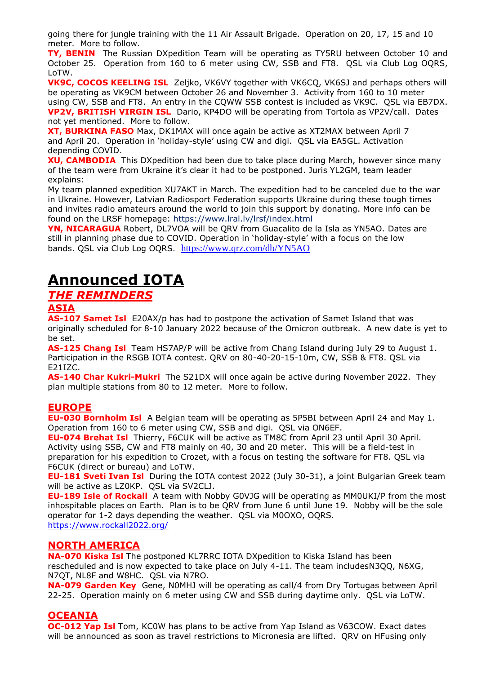going there for jungle training with the 11 Air Assault Brigade. Operation on 20, 17, 15 and 10 meter. More to follow.

**TY, BENIN** The Russian DXpedition Team will be operating as TY5RU between October 10 and October 25. Operation from 160 to 6 meter using CW, SSB and FT8. QSL via Club Log OQRS, LoTW.

**VK9C, COCOS KEELING ISL** Zeljko, VK6VY together with VK6CQ, VK6SJ and perhaps others will be operating as VK9CM between October 26 and November 3. Activity from 160 to 10 meter using CW, SSB and FT8. An entry in the CQWW SSB contest is included as VK9C. QSL via EB7DX. **VP2V, BRITISH VIRGIN ISL** Dario, KP4DO will be operating from Tortola as VP2V/call. Dates not yet mentioned. More to follow.

**XT, BURKINA FASO** Max, DK1MAX will once again be active as XT2MAX between April 7 and April 20. Operation in 'holiday-style' using CW and digi. QSL via EA5GL. Activation depending COVID.

**XU, CAMBODIA** This DXpedition had been due to take place during March, however since many of the team were from Ukraine it's clear it had to be postponed. Juris YL2GM, team leader explains:

My team planned expedition XU7AKT in March. The expedition had to be canceled due to the war in Ukraine. However, Latvian Radiosport Federation supports Ukraine during these tough times and invites radio amateurs around the world to join this support by donating. More info can be found on the LRSF homepage: <https://www.lral.lv/lrsf/index.html>

**YN, NICARAGUA** Robert, DL7VOA will be QRV from Guacalito de la Isla as YN5AO. Dates are still in planning phase due to COVID. Operation in 'holiday-style' with a focus on the low bands. QSL via Club Log OQRS. <https://www.qrz.com/db/YN5AO>

# **Announced IOTA**

# *THE REMINDERS*

## **ASIA**

**AS-107 Samet Isl** E20AX/p has had to postpone the activation of Samet Island that was originally scheduled for 8-10 January 2022 because of the Omicron outbreak. A new date is yet to be set.

**AS-125 Chang Isl** Team HS7AP/P will be active from Chang Island during July 29 to August 1. Participation in the RSGB IOTA contest. QRV on 80-40-20-15-10m, CW, SSB & FT8. QSL via E21IZC.

**AS-140 Char Kukri-Mukri** The S21DX will once again be active during November 2022. They plan multiple stations from 80 to 12 meter. More to follow.

## **EUROPE**

**EU-030 Bornholm Isl** A Belgian team will be operating as 5P5BI between April 24 and May 1. Operation from 160 to 6 meter using CW, SSB and digi. QSL via ON6EF.

**EU-074 Brehat Isl** Thierry, F6CUK will be active as TM8C from April 23 until April 30 April. Activity using SSB, CW and FT8 mainly on 40, 30 and 20 meter. This will be a field-test in preparation for his expedition to Crozet, with a focus on testing the software for FT8. QSL via F6CUK (direct or bureau) and LoTW.

**EU-181 Sveti Ivan Isl** During the IOTA contest 2022 (July 30-31), a joint Bulgarian Greek team will be active as LZ0KP. QSL via SV2CLJ.

**EU-189 Isle of Rockall** A team with Nobby G0VJG will be operating as MM0UKI/P from the most inhospitable places on Earth. Plan is to be QRV from June 6 until June 19. Nobby will be the sole operator for 1-2 days depending the weather. QSL via M0OXO, OQRS. <https://www.rockall2022.org/>

## **NORTH AMERICA**

**NA-070 Kiska Isl** The postponed KL7RRC IOTA DXpedition to Kiska Island has been rescheduled and is now expected to take place on July 4-11. The team includesN3QQ, N6XG, N7QT, NL8F and W8HC. QSL via N7RO.

**NA-079 Garden Key** Gene, N0MHJ will be operating as call/4 from Dry Tortugas between April 22-25. Operation mainly on 6 meter using CW and SSB during daytime only. QSL via LoTW.

## **OCEANIA**

**OC-012 Yap Isl** Tom, KC0W has plans to be active from Yap Island as V63COW. Exact dates will be announced as soon as travel restrictions to Micronesia are lifted. QRV on HFusing only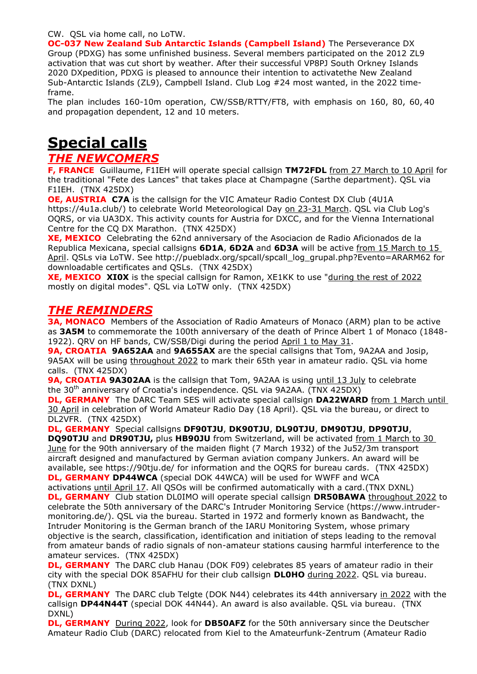#### CW. QSL via home call, no LoTW.

**OC-037 New Zealand Sub Antarctic Islands (Campbell Island)** The Perseverance DX Group (PDXG) has some unfinished business. Several members participated on the 2012 ZL9 activation that was cut short by weather. After their successful VP8PJ South Orkney Islands 2020 DXpedition, PDXG is pleased to announce their intention to activatethe New Zealand Sub-Antarctic Islands (ZL9), Campbell Island. Club Log #24 most wanted, in the 2022 timeframe.

The plan includes 160-10m operation, CW/SSB/RTTY/FT8, with emphasis on 160, 80, 60, 40 and propagation dependent, 12 and 10 meters.

# **Special calls**

## *THE NEWCOMERS*

**F, FRANCE** Guillaume, F1IEH will operate special callsign **TM72FDL** from 27 March to 10 April for the traditional "Fete des Lances" that takes place at Champagne (Sarthe department). QSL via F1IEH. (TNX 425DX)

**OE, AUSTRIA C7A** is the callsign for the VIC Amateur Radio Contest DX Club (4U1A https://4u1a.club/) to celebrate World Meteorological Day on 23-31 March. QSL via Club Log's OQRS, or via UA3DX. This activity counts for Austria for DXCC, and for the Vienna International Centre for the CQ DX Marathon. (TNX 425DX)

**XE, MEXICO** Celebrating the 62nd anniversary of the Asociacion de Radio Aficionados de la Republica Mexicana, special callsigns **6D1A**, **6D2A** and **6D3A** will be active from 15 March to 15 April. QSLs via LoTW. See http://puebladx.org/spcall/spcall\_log\_grupal.php?Evento=ARARM62 for downloadable certificates and QSLs. (TNX 425DX)

**XE, MEXICO XIOX** is the special callsign for Ramon, XE1KK to use "during the rest of 2022 mostly on digital modes". QSL via LoTW only. (TNX 425DX)

# *THE REMINDERS*

**3A, MONACO** Members of the Association of Radio Amateurs of Monaco (ARM) plan to be active as **3A5M** to commemorate the 100th anniversary of the death of Prince Albert 1 of Monaco (1848- 1922). QRV on HF bands, CW/SSB/Digi during the period April 1 to May 31.

**9A, CROATIA 9A652AA** and **9A655AX** are the special callsigns that Tom, 9A2AA and Josip, 9A5AX will be using throughout 2022 to mark their 65th year in amateur radio. QSL via home calls. (TNX 425DX)

**9A, CROATIA 9A302AA** is the callsign that Tom, 9A2AA is using until 13 July to celebrate the 30<sup>th</sup> anniversary of Croatia's independence. QSL via 9A2AA. (TNX 425DX)

**DL, GERMANY** The DARC Team SES will activate special callsign **DA22WARD** from 1 March until 30 April in celebration of World Amateur Radio Day (18 April). QSL via the bureau, or direct to DL2VFR. (TNX 425DX)

**DL, GERMANY** Special callsigns **DF90TJU**, **DK90TJU**, **DL90TJU**, **DM90TJU**, **DP90TJU**,

**DQ90TJU** and **DR90TJU,** plus **HB90JU** from Switzerland, will be activated from 1 March to 30 June for the 90th anniversary of the maiden flight (7 March 1932) of the Ju52/3m transport aircraft designed and manufactured by German aviation company Junkers. An award will be available, see https://90tju.de/ for information and the OQRS for bureau cards. (TNX 425DX) **DL, GERMANY DP44WCA** (special DOK 44WCA) will be used for WWFF and WCA

activations until April 17. All QSOs will be confirmed automatically with a card.(TNX DXNL) **DL, GERMANY** Club station DL0IMO will operate special callsign **DR50BAWA** throughout 2022 to celebrate the 50th anniversary of the DARC's Intruder Monitoring Service (https://www.intrudermonitoring.de/). QSL via the bureau. Started in 1972 and formerly known as Bandwacht, the Intruder Monitoring is the German branch of the IARU Monitoring System, whose primary objective is the search, classification, identification and initiation of steps leading to the removal from amateur bands of radio signals of non-amateur stations causing harmful interference to the amateur services. (TNX 425DX)

**DL, GERMANY** The DARC club Hanau (DOK F09) celebrates 85 years of amateur radio in their city with the special DOK 85AFHU for their club callsign **DL0HO** during 2022. QSL via bureau. (TNX DXNL)

**DL, GERMANY** The DARC club Telgte (DOK N44) celebrates its 44th anniversary in 2022 with the callsign **DP44N44T** (special DOK 44N44). An award is also available. QSL via bureau. (TNX DXNL)

**DL, GERMANY** During 2022, look for **DB50AFZ** for the 50th anniversary since the Deutscher Amateur Radio Club (DARC) relocated from Kiel to the Amateurfunk-Zentrum (Amateur Radio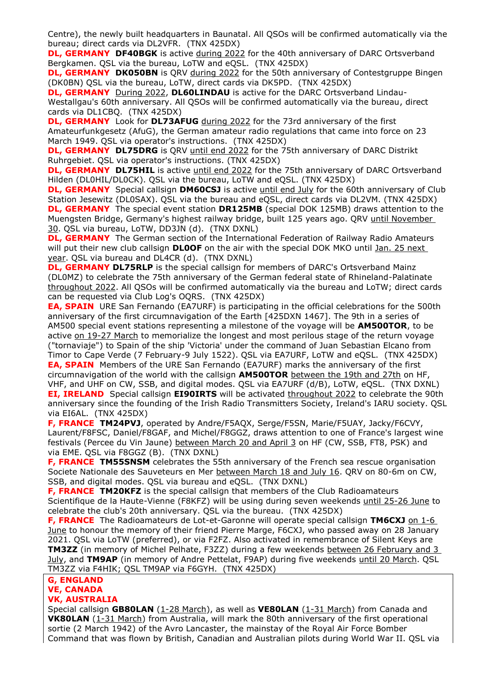Centre), the newly built headquarters in Baunatal. All QSOs will be confirmed automatically via the bureau; direct cards via DL2VFR. (TNX 425DX)

**DL, GERMANY DF40BGK** is active during 2022 for the 40th anniversary of DARC Ortsverband Bergkamen. QSL via the bureau, LoTW and eQSL. (TNX 425DX)

**DL, GERMANY DK050BN** is QRV during 2022 for the 50th anniversary of Contestgruppe Bingen (DK0BN) QSL via the bureau, LoTW, direct cards via DK5PD. (TNX 425DX)

**DL, GERMANY** During 2022, **DL60LINDAU** is active for the DARC Ortsverband Lindau-Westallgau's 60th anniversary. All QSOs will be confirmed automatically via the bureau, direct cards via DL1CBQ. (TNX 425DX)

**DL, GERMANY** Look for **DL73AFUG** during 2022 for the 73rd anniversary of the first Amateurfunkgesetz (AfuG), the German amateur radio regulations that came into force on 23 March 1949. QSL via operator's instructions. (TNX 425DX)

**DL, GERMANY DL75DRG** is QRV until end 2022 for the 75th anniversary of DARC Distrikt Ruhrgebiet. QSL via operator's instructions. (TNX 425DX)

**DL, GERMANY DL75HIL** is active until end 2022 for the 75th anniversary of DARC Ortsverband Hilden (DL0HIL/DL0CK). QSL via the bureau, LoTW and eQSL. (TNX 425DX)

**DL, GERMANY** Special callsign **DM60CSJ** is active until end July for the 60th anniversary of Club Station Jesewitz (DL0SAX). QSL via the bureau and eQSL, direct cards via DL2VM. (TNX 425DX) **DL, GERMANY** The special event station **DR125MB** (special DOK 125MB) draws attention to the Muengsten Bridge, Germany's highest railway bridge, built 125 years ago. QRV until November 30. QSL via bureau, LoTW, DD3JN (d). (TNX DXNL)

**DL, GERMANY** The German section of the International Federation of Railway Radio Amateurs will put their new club callsign **DL0OF** on the air with the special DOK MKO until Jan. 25 next year. QSL via bureau and DL4CR (d). (TNX DXNL)

**DL, GERMANY DL75RLP** is the special callsign for members of DARC's Ortsverband Mainz (DL0MZ) to celebrate the 75th anniversary of the German federal state of Rhineland-Palatinate throughout 2022. All QSOs will be confirmed automatically via the bureau and LoTW; direct cards can be requested via Club Log's OQRS. (TNX 425DX)

**EA, SPAIN** URE San Fernando (EA7URF) is participating in the official celebrations for the 500th anniversary of the first circumnavigation of the Earth [425DXN 1467]. The 9th in a series of AM500 special event stations representing a milestone of the voyage will be **AM500TOR**, to be active on 19-27 March to memorialize the longest and most perilous stage of the return voyage ("tornaviaje") to Spain of the ship 'Victoria' under the command of Juan Sebastian Elcano from Timor to Cape Verde (7 February-9 July 1522). QSL via EA7URF, LoTW and eQSL. (TNX 425DX) **EA, SPAIN** Members of the URE San Fernando (EA7URF) marks the anniversary of the first circumnavigation of the world with the callsign **AM500TOR** between the 19th and 27th on HF,

VHF, and UHF on CW, SSB, and digital modes. QSL via EA7URF (d/B), LoTW, eQSL. (TNX DXNL) **EI, IRELAND**Special callsign **EI90IRTS** will be activated throughout 2022 to celebrate the 90th anniversary since the founding of the Irish Radio Transmitters Society, Ireland's IARU society. QSL via EI6AL. (TNX 425DX)

**F, FRANCE TM24PVJ**, operated by Andre/F5AQX, Serge/F5SN, Marie/F5UAY, Jacky/F6CVY, Laurent/F8FSC, Daniel/F8GAF, and Michel/F8GGZ, draws attention to one of France's largest wine festivals (Percee du Vin Jaune) between March 20 and April 3 on HF (CW, SSB, FT8, PSK) and via EME. QSL via F8GGZ (B). (TNX DXNL)

**F, FRANCE TM55SNSM** celebrates the 55th anniversary of the French sea rescue organisation Societe Nationale des Sauveteurs en Mer between March 18 and July 16. QRV on 80-6m on CW, SSB, and digital modes. QSL via bureau and eQSL. (TNX DXNL)

**F, FRANCE TM20KFZ** is the special callsign that members of the Club Radioamateurs Scientifique de la Haute-Vienne (F8KFZ) will be using during seven weekends until 25-26 June to celebrate the club's 20th anniversary. QSL via the bureau. (TNX 425DX)

**F, FRANCE** The Radioamateurs de Lot-et-Garonne will operate special callsign **TM6CXJ** on 1-6 June to honour the memory of their friend Pierre Marge, F6CXJ, who passed away on 28 January 2021. QSL via LoTW (preferred), or via F2FZ. Also activated in remembrance of Silent Keys are **TM3ZZ** (in memory of Michel Pelhate, F3ZZ) during a few weekends between 26 February and 3 July, and **TM9AP** (in memory of Andre Pettelat, F9AP) during five weekends until 20 March. QSL TM3ZZ via F4HIK; QSL TM9AP via F6GYH. (TNX 425DX)

#### **G, ENGLAND VE, CANADA**

## **VK, AUSTRALIA**

Special callsign **GB80LAN** (1-28 March), as well as **VE80LAN** (1-31 March) from Canada and **VK80LAN** (1-31 March) from Australia, will mark the 80th anniversary of the first operational sortie (2 March 1942) of the Avro Lancaster, the mainstay of the Royal Air Force Bomber Command that was flown by British, Canadian and Australian pilots during World War II. QSL via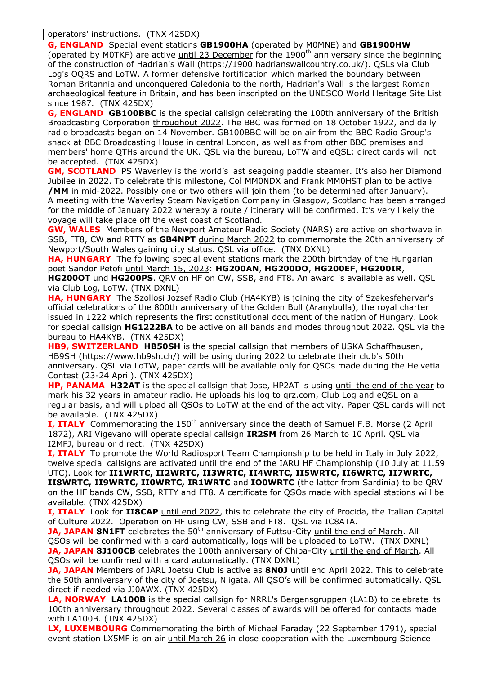**G, ENGLAND** Special event stations **GB1900HA** (operated by M0MNE) and **GB1900HW** (operated by M0TKF) are active until 23 December for the 1900<sup>th</sup> anniversary since the beginning of the construction of Hadrian's Wall (https://1900.hadrianswallcountry.co.uk/). QSLs via Club Log's OQRS and LoTW. A former defensive fortification which marked the boundary between Roman Britannia and unconquered Caledonia to the north, Hadrian's Wall is the largest Roman archaeological feature in Britain, and has been inscripted on the UNESCO World Heritage Site List since 1987. (TNX 425DX)

**G, ENGLAND GB100BBC** is the special callsign celebrating the 100th anniversary of the British Broadcasting Corporation throughout 2022. The BBC was formed on 18 October 1922, and daily radio broadcasts began on 14 November. GB100BBC will be on air from the BBC Radio Group's shack at BBC Broadcasting House in central London, as well as from other BBC premises and members' home QTHs around the UK. QSL via the bureau, LoTW and eQSL; direct cards will not be accepted. (TNX 425DX)

**GM, SCOTLAND** PS Waverley is the world's last seagoing paddle steamer. It's also her Diamond Jubilee in 2022. To celebrate this milestone, Col MM0NDX and Frank MM0HST plan to be active **/MM** in mid-2022. Possibly one or two others will join them (to be determined after January). A meeting with the Waverley Steam Navigation Company in Glasgow, Scotland has been arranged for the middle of January 2022 whereby a route / itinerary will be confirmed. It's very likely the voyage will take place off the west coast of Scotland.

**GW, WALES** Members of the Newport Amateur Radio Society (NARS) are active on shortwave in SSB, FT8, CW and RTTY as **GB4NPT** during March 2022 to commemorate the 20th anniversary of Newport/South Wales gaining city status. QSL via office. (TNX DXNL)

**HA, HUNGARY** The following special event stations mark the 200th birthday of the Hungarian poet Sandor Petofi until March 15, 2023: **HG200AN**, **HG200DO**, **HG200EF**, **HG200IR**, **HG200OT** und **HG200PS**. QRV on HF on CW, SSB, and FT8. An award is available as well. QSL via Club Log, LoTW. (TNX DXNL)

**HA, HUNGARY** The Szollosi Jozsef Radio Club (HA4KYB) is joining the city of Szekesfehervar's official celebrations of the 800th anniversary of the Golden Bull (Aranybulla), the royal charter issued in 1222 which represents the first constitutional document of the nation of Hungary. Look for special callsign **HG1222BA** to be active on all bands and modes throughout 2022. QSL via the bureau to HA4KYB. (TNX 425DX)

**HB9, SWITZERLAND HB50SH** is the special callsign that members of USKA Schaffhausen, HB9SH (https://www.hb9sh.ch/) will be using during 2022 to celebrate their club's 50th anniversary. QSL via LoTW, paper cards will be available only for QSOs made during the Helvetia Contest (23-24 April). (TNX 425DX)

**HP, PANAMA H32AT** is the special callsign that Jose, HP2AT is using until the end of the year to mark his 32 years in amateur radio. He uploads his log to qrz.com, Club Log and eQSL on a regular basis, and will upload all QSOs to LoTW at the end of the activity. Paper QSL cards will not be available. (TNX 425DX)

**I, ITALY** Commemorating the 150<sup>th</sup> anniversary since the death of Samuel F.B. Morse (2 April 1872), ARI Vigevano will operate special callsign **IR2SM** from 26 March to 10 April. QSL via I2MFJ, bureau or direct. (TNX 425DX)

**I, ITALY** To promote the World Radiosport Team Championship to be held in Italy in July 2022, twelve special callsigns are activated until the end of the IARU HF Championship (10 July at 11.59 UTC). Look for **II1WRTC, II2WRTC, II3WRTC, II4WRTC, II5WRTC, II6WRTC, II7WRTC, II8WRTC, II9WRTC, II0WRTC, IR1WRTC** and **IO0WRTC** (the latter from Sardinia) to be QRV on the HF bands CW, SSB, RTTY and FT8. A certificate for QSOs made with special stations will be available. (TNX 425DX)

**I, ITALY** Look for **II8CAP** until end 2022, this to celebrate the city of Procida, the Italian Capital of Culture 2022. Operation on HF using CW, SSB and FT8. QSL via IC8ATA.

**JA, JAPAN 8N1FT** celebrates the 50<sup>th</sup> anniversary of Futtsu-City until the end of March. All QSOs will be confirmed with a card automatically, logs will be uploaded to LoTW. (TNX DXNL) **JA, JAPAN 8J100CB** celebrates the 100th anniversary of Chiba-City until the end of March. All QSOs will be confirmed with a card automatically. (TNX DXNL)

**JA, JAPAN** Members of JARL Joetsu Club is active as **8N0J** until end April 2022. This to celebrate the 50th anniversary of the city of Joetsu, Niigata. All QSO's will be confirmed automatically. QSL direct if needed via JJ0AWX. (TNX 425DX)

**LA, NORWAY LA100B** is the special callsign for NRRL's Bergensgruppen (LA1B) to celebrate its 100th anniversary throughout 2022. Several classes of awards will be offered for contacts made with LA100B. (TNX 425DX)

**LX, LUXEMBOURG** Commemorating the birth of Michael Faraday (22 September 1791), special event station LX5MF is on air until March 26 in close cooperation with the Luxembourg Science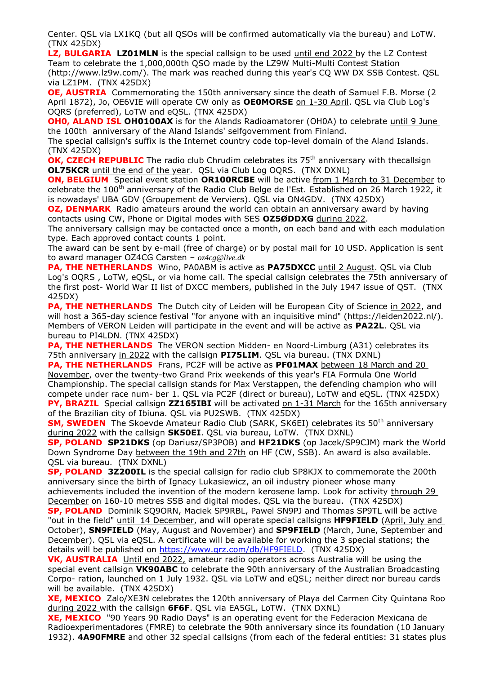Center. QSL via LX1KQ (but all QSOs will be confirmed automatically via the bureau) and LoTW. (TNX 425DX)

**LZ, BULGARIA LZ01MLN** is the special callsign to be used until end 2022 by the LZ Contest Team to celebrate the 1,000,000th QSO made by the LZ9W Multi-Multi Contest Station (http://www.lz9w.com/). The mark was reached during this year's CQ WW DX SSB Contest. QSL via LZ1PM. (TNX 425DX)

**OE, AUSTRIA** Commemorating the 150th anniversary since the death of Samuel F.B. Morse (2) April 1872), Jo, OE6VIE will operate CW only as **OE0MORSE** on 1-30 April. QSL via Club Log's OQRS (preferred), LoTW and eQSL. (TNX 425DX)

**OH0, ALAND ISL OH0100AX** is for the Alands Radioamatorer (OH0A) to celebrate until 9 June the 100th anniversary of the Aland Islands' selfgovernment from Finland.

The special callsign's suffix is the Internet country code top-level domain of the Aland Islands. (TNX 425DX)

**OK, CZECH REPUBLIC** The radio club Chrudim celebrates its 75<sup>th</sup> anniversary with thecallsign **OL75KCR** until the end of the year. QSL via Club Log OQRS. (TNX DXNL)

**ON, BELGIUM** Special event station OR100RCBE will be active from 1 March to 31 December to celebrate the 100<sup>th</sup> anniversary of the Radio Club Belge de l'Est. Established on 26 March 1922, it is nowadays' UBA GDV (Groupement de Verviers). QSL via ON4GDV. (TNX 425DX)

**OZ, DENMARK** Radio amateurs around the world can obtain an anniversary award by having contacts using CW, Phone or Digital modes with SES **OZ5ØDDXG** during 2022.

The anniversary callsign may be contacted once a month, on each band and with each modulation type. Each approved contact counts 1 point.

The award can be sent by e-mail (free of charge) or by postal mail for 10 USD. Application is sent to award manager OZ4CG Carsten – *oz4cg@live.dk*

**PA, THE NETHERLANDS** Wino, PA0ABM is active as **PA75DXCC** until 2 August. QSL via Club Log's OQRS , LoTW, eQSL, or via home call. The special callsign celebrates the 75th anniversary of the first post- World War II list of DXCC members, published in the July 1947 issue of QST. (TNX 425DX)

**PA, THE NETHERLANDS** The Dutch city of Leiden will be European City of Science in 2022, and will host a 365-day science festival "for anyone with an inquisitive mind" (https://leiden2022.nl/). Members of VERON Leiden will participate in the event and will be active as **PA22L**. QSL via bureau to PI4LDN. (TNX 425DX)

**PA, THE NETHERLANDS** The VERON section Midden- en Noord-Limburg (A31) celebrates its 75th anniversary in 2022 with the callsign **PI75LIM**. QSL via bureau. (TNX DXNL)

**PA, THE NETHERLANDS** Frans, PC2F will be active as **PF01MAX** between 18 March and 20 November, over the twenty-two Grand Prix weekends of this year's FIA Formula One World Championship. The special callsign stands for Max Verstappen, the defending champion who will compete under race num- ber 1. QSL via PC2F (direct or bureau), LoTW and eQSL. (TNX 425DX) **PY, BRAZIL** Special callsign **ZZ165IBI** will be activated on 1-31 March for the 165th anniversary of the Brazilian city of Ibiuna. QSL via PU2SWB. (TNX 425DX)

**SM, SWEDEN** The Skoevde Amateur Radio Club (SARK, SK6EI) celebrates its 50<sup>th</sup> anniversary during 2022 with the callsign **SK50EI**. QSL via bureau, LoTW. (TNX DXNL)

**SP, POLAND SP21DKS** (op Dariusz/SP3POB) and **HF21DKS** (op Jacek/SP9CJM) mark the World Down Syndrome Day between the 19th and 27th on HF (CW, SSB). An award is also available. QSL via bureau. (TNX DXNL)

**SP, POLAND 3Z200IL** is the special callsign for radio club SP8KJX to commemorate the 200th anniversary since the birth of Ignacy Lukasiewicz, an oil industry pioneer whose many achievements included the invention of the modern kerosene lamp. Look for activity through 29 December on 160-10 metres SSB and digital modes. QSL via the bureau. (TNX 425DX)

**SP, POLAND** Dominik SQ9ORN, Maciek SP9RBL, Pawel SN9PJ and Thomas SP9TL will be active "out in the field" until 14 December, and will operate special callsigns **HF9FIELD** (April, July and October), **SN9FIELD** (May, August and November) and **SP9FIELD** (March, June, September and December). QSL via eQSL. A certificate will be available for working the 3 special stations; the details will be published on [https://www.qrz.com/db/HF9FIELD.](https://www.qrz.com/db/HF9FIELD) (TNX 425DX)

**VK, AUSTRALIA** Until end 2022, amateur radio operators across Australia will be using the special event callsign **VK90ABC** to celebrate the 90th anniversary of the Australian Broadcasting Corpo- ration, launched on 1 July 1932. QSL via LoTW and eQSL; neither direct nor bureau cards will be available. (TNX 425DX)

**XE, MEXICO** Zalo/XE3N celebrates the 120th anniversary of Playa del Carmen City Quintana Roo during 2022 with the callsign **6F6F**. QSL via EA5GL, LoTW. (TNX DXNL)

**XE, MEXICO** "90 Years 90 Radio Days" is an operating event for the Federacion Mexicana de Radioexperimentadores (FMRE) to celebrate the 90th anniversary since its foundation (10 January 1932). **4A90FMRE** and other 32 special callsigns (from each of the federal entities: 31 states plus